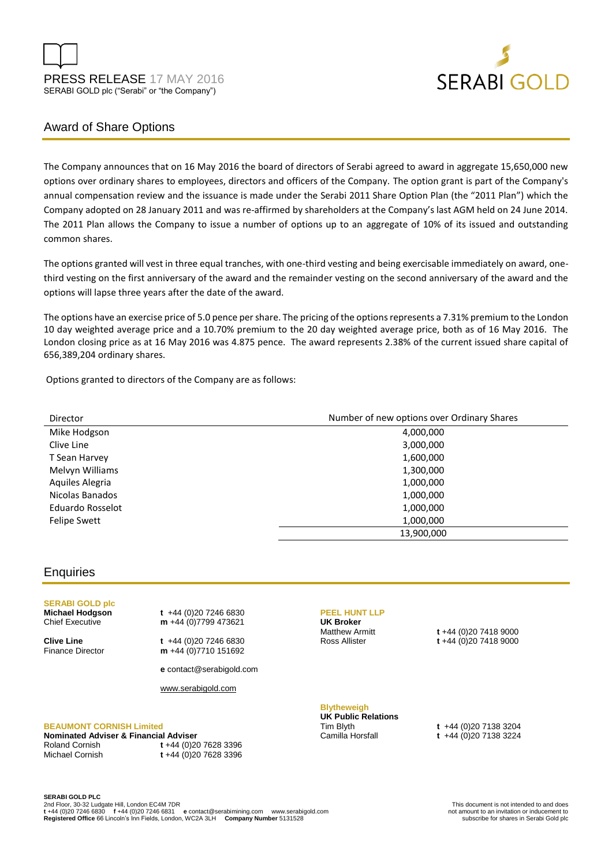



# Award of Share Options

The Company announces that on 16 May 2016 the board of directors of Serabi agreed to award in aggregate 15,650,000 new options over ordinary shares to employees, directors and officers of the Company. The option grant is part of the Company's annual compensation review and the issuance is made under the Serabi 2011 Share Option Plan (the "2011 Plan") which the Company adopted on 28 January 2011 and was re-affirmed by shareholders at the Company's last AGM held on 24 June 2014. The 2011 Plan allows the Company to issue a number of options up to an aggregate of 10% of its issued and outstanding common shares.

The options granted will vest in three equal tranches, with one-third vesting and being exercisable immediately on award, onethird vesting on the first anniversary of the award and the remainder vesting on the second anniversary of the award and the options will lapse three years after the date of the award.

The options have an exercise price of 5.0 pence per share. The pricing of the options represents a 7.31% premium to the London 10 day weighted average price and a 10.70% premium to the 20 day weighted average price, both as of 16 May 2016. The London closing price as at 16 May 2016 was 4.875 pence. The award represents 2.38% of the current issued share capital of 656,389,204 ordinary shares.

Options granted to directors of the Company are as follows:

| Director            | Number of new options over Ordinary Shares |
|---------------------|--------------------------------------------|
| Mike Hodgson        | 4,000,000                                  |
| Clive Line          | 3,000,000                                  |
| T Sean Harvey       | 1,600,000                                  |
| Melvyn Williams     | 1,300,000                                  |
| Aquiles Alegria     | 1,000,000                                  |
| Nicolas Banados     | 1,000,000                                  |
| Eduardo Rosselot    | 1,000,000                                  |
| <b>Felipe Swett</b> | 1,000,000                                  |
|                     | 13,900,000                                 |

## **Enquiries**

# **SERABI GOLD plc**

**Michael Hodgson t** +44 (0)20 7246 6830 Chief Executive **m** +44 (0)7799 473621

**Clive Line t** +44 (0)20 7246 6830 Finance Director **m** +44 (0)7710 151692

**e** contact@serabigold.com

[www.serabigold.com](http://www.serabigold.com/)

### **BEAUMONT CORNISH Limited**

**Nominated Adviser & Financial Adviser** Roland Cornish **t** +44 (0)20 7628 3396

Michael Cornish **t** +44 (0)20 7628 3396

#### **PEEL HUNT LLP**

**UK Broker**

Matthew Armitt **t** +44 (0)20 7418 9000<br>Ross Allister **t** +44 (0)20 7418 9000 Ross Allister **t** +44 (0)20 7418 9000

#### **Blytheweigh UK Public Relations**

Tim Blyth **t** +44 (0)20 7138 3204

Camilla Horsfall **t** +44 (0)20 7138 3224